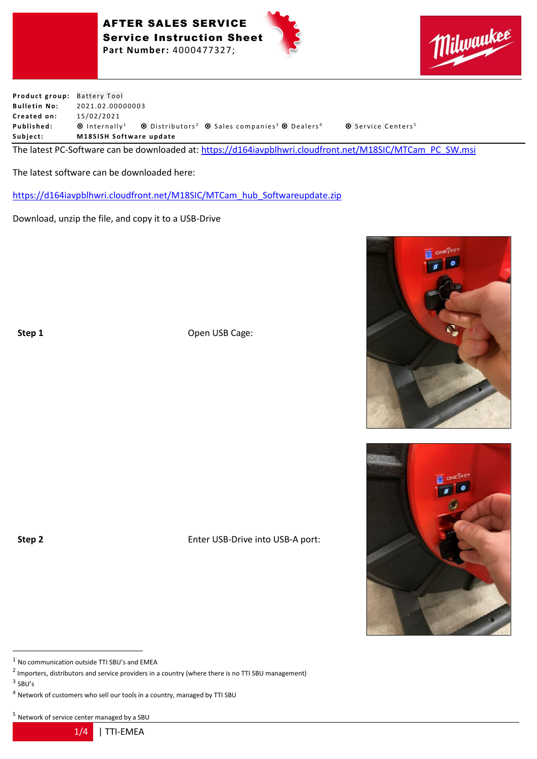





**Product group:** Battery Tool **Bulletin No:** 2021.02.00000003 **C r e a t e d on:** 1 5 / 0 2 / 2 0 2 1 **Published:** © Internally<sup>1</sup> © Distributors<sup>2</sup> © Sales companies<sup>3</sup> © Dealers<sup>4</sup> © Service Centers<sup>5</sup> Subject: M18SISH Software update

The latest PC-Software can be downloaded at: [https://d164iavpblhwri.cloudfront.net/M18SIC/MTCam\\_PC\\_SW.msi](https://d164iavpblhwri.cloudfront.net/M18SIC/MTCam_PC_SW.msi)

The latest software can be downloaded here:

[https://d164iavpblhwri.cloudfront.net/M18SIC/MTCam\\_hub\\_Softwareupdate.zip](https://d164iavpblhwri.cloudfront.net/M18SIC/MTCam_hub_Softwareupdate.zip)

Download, unzip the file, and copy it to a USB-Drive

**Step 1** Open USB Cage:

**Step 2** Enter USB-Drive into USB-A port:

 $1$  No communication outside TTI SBU's and EMEA

<sup>5</sup> Network of service center managed by a SBU

1/4 | TTI-EMEA





 $^2$  Importers, distributors and service providers in a country (where there is no TTI SBU management)

 $3$  SBU's

<sup>4</sup> Network of customers who sell our tools in a country, managed by TTI SBU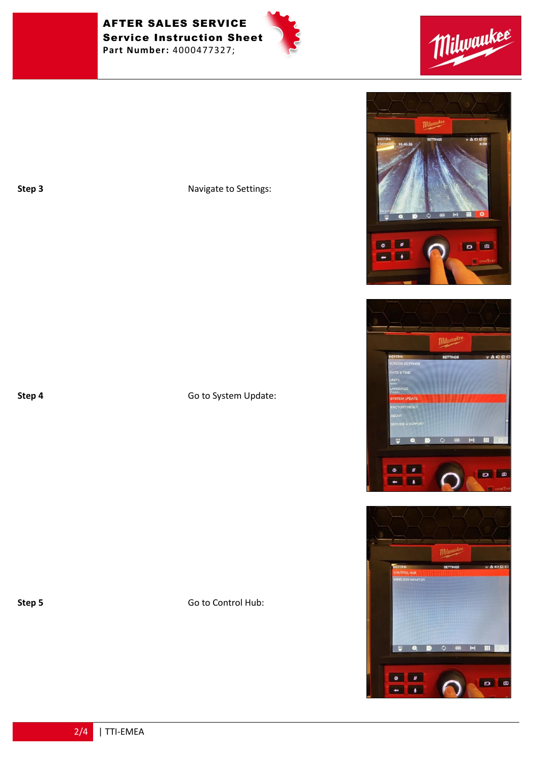AFTER SALES SERVICE Service Instruction Sheet **Part Number:** 4000477327;







**Step 3** Navigate to Settings:

**Step 4** Go to System Update:

## **Step 5** Go to Control Hub:

0 0 **D D Real Exc** 

*Milwaukee* 



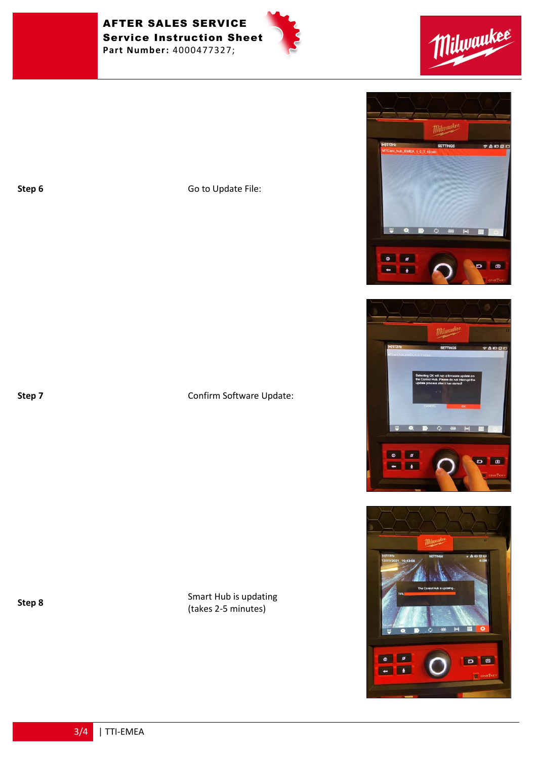AFTER SALES SERVICE Service Instruction Sheet **Part Number:** 4000477327;





**Step 6** Go to Update File:

## **Step 7** Confirm Software Update:

**Step 8** Smart Hub is updating (takes 2-5 minutes)